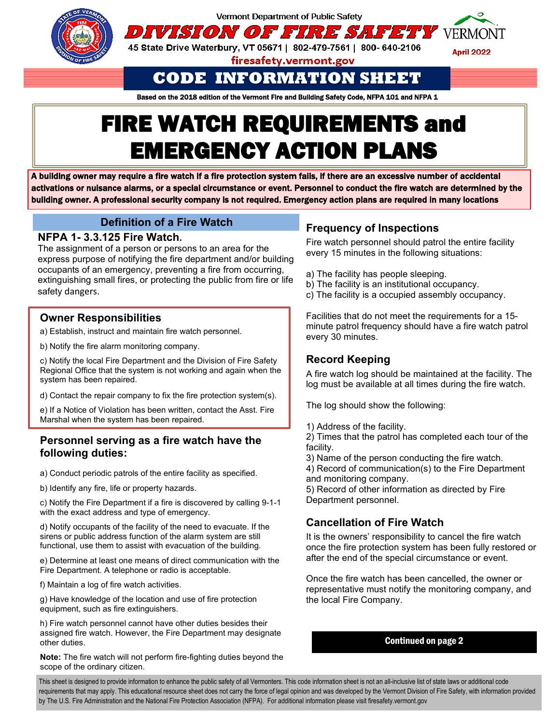

Vermont Department of Public Safety

DIVISION OF FIRE SAFETY VERMONT

45 State Drive Waterbury, VT 05671 | 802-479-7561 | 800- 640-2106

firesafety.vermont.gov

**April 2022** 

# **CODE INFORMATION SHEET**

Based on the 2018 edition of the Vermont Fire and Building Safety Code, NFPA 101 and NFPA 1

# **FIRE WATCH REQUIREMENTS and EMERGENCY ACTION PLANS**

A building owner may require a fire watch if a fire protection system fails, if there are an excessive number of accidental activations or nuisance alarms, or a special circumstance or event. Personnel to conduct the fire watch are determined by the building owner. A professional security company is not required. Emergency action plans are required in many locations

# **Definition of a Fire Watch**

#### **NFPA 1- 3.3.125 Fire Watch.**

The assignment of a person or persons to an area for the express purpose of notifying the fire department and/or building occupants of an emergency, preventing a fire from occurring, extinguishing small fires, or protecting the public from fire or life safety dangers.

# **Owner Responsibilities**

**Divisio6.386.1450**

a) Establish, instruct and maintain fire watch personnel.

b) Notify the fire alarm monitoring company.

c) Notify the local Fire Department and the Division of Fire Safety Regional Office that the system is not working and again when the system has been repaired.

d) Contact the repair company to fix the fire protection system(s).

e) If a Notice of Violation has been written, contact the Asst. Fire Marshal when the system has been repaired.

#### **Personnel serving as a fire watch have the following duties:**

a) Conduct periodic patrols of the entire facility as specified.

b) Identify any fire, life or property hazards.

c) Notify the Fire Department if a fire is discovered by calling 9-1-1 with the exact address and type of emergency.

d) Notify occupants of the facility of the need to evacuate. If the sirens or public address function of the alarm system are still functional, use them to assist with evacuation of the building.

e) Determine at least one means of direct communication with the Fire Department. A telephone or radio is acceptable.

f) Maintain a log of fire watch activities.

g) Have knowledge of the location and use of fire protection equipment, such as fire extinguishers.

h) Fire watch personnel cannot have other duties besides their assigned fire watch. However, the Fire Department may designate other duties.

**Note:** The fire watch will not perform fire-fighting duties beyond the scope of the ordinary citizen.

## **Frequency of Inspections**

Fire watch personnel should patrol the entire facility every 15 minutes in the following situations:

- a) The facility has people sleeping.
- b) The facility is an institutional occupancy.
- c) The facility is a occupied assembly occupancy.

Facilities that do not meet the requirements for a 15 minute patrol frequency should have a fire watch patrol every 30 minutes.

#### **Record Keeping**

A fire watch log should be maintained at the facility. The log must be available at all times during the fire watch.

The log should show the following:

1) Address of the facility.

2) Times that the patrol has completed each tour of the facility.

3) Name of the person conducting the fire watch.

4) Record of communication(s) to the Fire Department and monitoring company.

5) Record of other information as directed by Fire Department personnel.

# **Cancellation of Fire Watch**

It is the owners' responsibility to cancel the fire watch once the fire protection system has been fully restored or after the end of the special circumstance or event.

Once the fire watch has been cancelled, the owner or representative must notify the monitoring company, and the local Fire Company.

#### Continued on page 2

This sheet is designed to provide information to enhance the public safety of all Vermonters. This code information sheet is not an all-inclusive list of state laws or additional code requirements that may apply. This educational resource sheet does not carry the force of legal opinion and was developed by the Vermont Division of Fire Safety, with information provided by The U.S. Fire Administration and the National Fire Protection Association (NFPA). For additional information please visit firesafety.vermont.gov